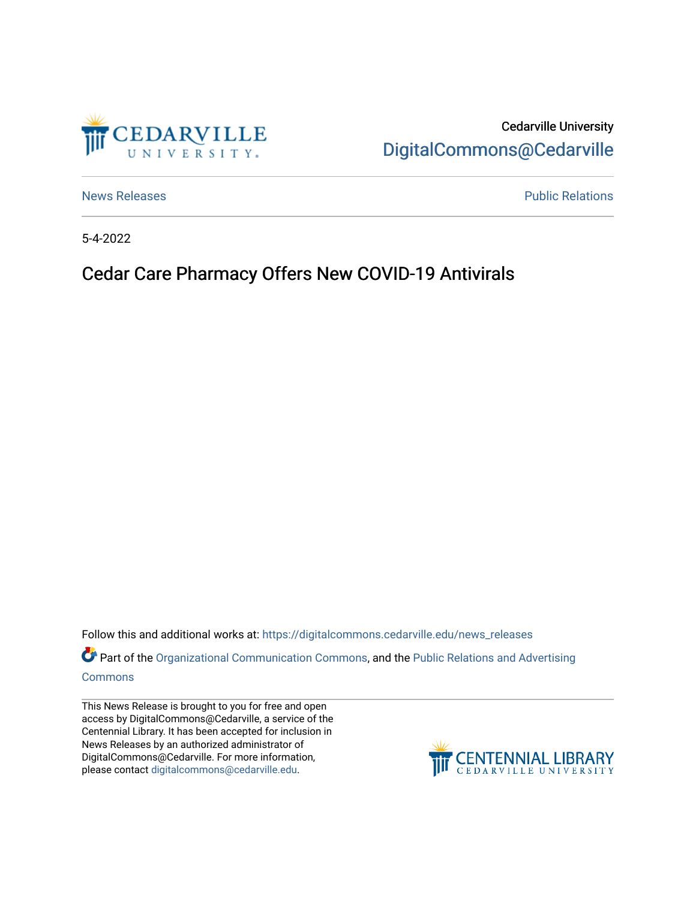

Cedarville University [DigitalCommons@Cedarville](https://digitalcommons.cedarville.edu/) 

[News Releases](https://digitalcommons.cedarville.edu/news_releases) **Public Relations Public Relations** 

5-4-2022

## Cedar Care Pharmacy Offers New COVID-19 Antivirals

Follow this and additional works at: [https://digitalcommons.cedarville.edu/news\\_releases](https://digitalcommons.cedarville.edu/news_releases?utm_source=digitalcommons.cedarville.edu%2Fnews_releases%2F1552&utm_medium=PDF&utm_campaign=PDFCoverPages) 

Part of the [Organizational Communication Commons](http://network.bepress.com/hgg/discipline/335?utm_source=digitalcommons.cedarville.edu%2Fnews_releases%2F1552&utm_medium=PDF&utm_campaign=PDFCoverPages), and the Public Relations and Advertising [Commons](http://network.bepress.com/hgg/discipline/336?utm_source=digitalcommons.cedarville.edu%2Fnews_releases%2F1552&utm_medium=PDF&utm_campaign=PDFCoverPages)

This News Release is brought to you for free and open access by DigitalCommons@Cedarville, a service of the Centennial Library. It has been accepted for inclusion in News Releases by an authorized administrator of DigitalCommons@Cedarville. For more information, please contact [digitalcommons@cedarville.edu](mailto:digitalcommons@cedarville.edu).

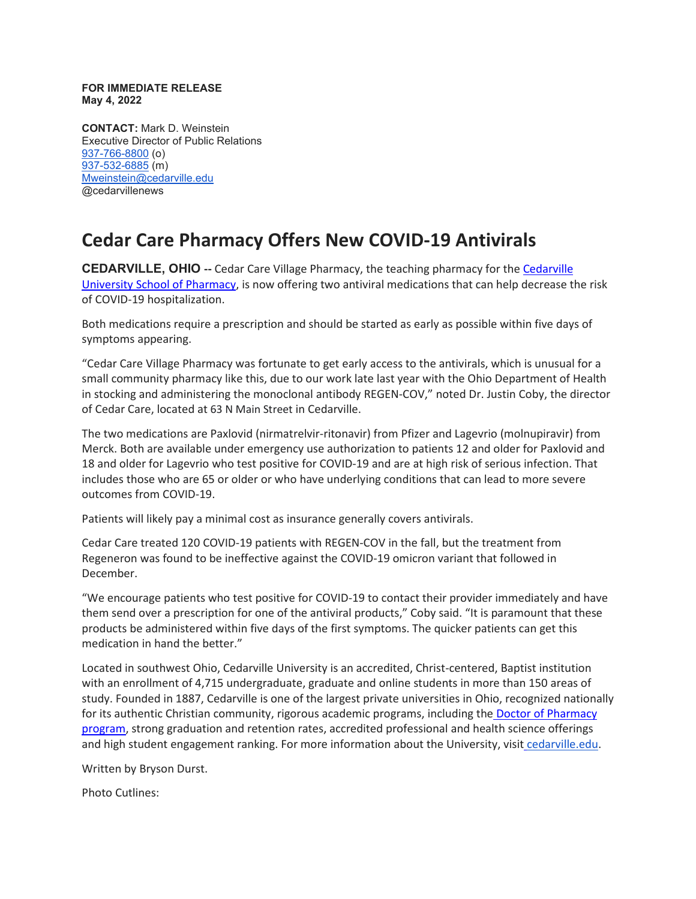**FOR IMMEDIATE RELEASE May 4, 2022**

**CONTACT:** Mark D. Weinstein Executive Director of Public Relations [937-766-8800](tel:937-766-8800) (o) [937-532-6885](tel:937-532-6885) (m) [Mweinstein@cedarville.edu](mailto:Mweinstein@cedarville.edu) @cedarvillenews

## **Cedar Care Pharmacy Offers New COVID-19 Antivirals**

**CEDARVILLE, OHIO --** Cedar Care Village Pharmacy, the teaching pharmacy for the [Cedarville](https://www.cedarville.edu/academic-schools-and-departments/pharmacy)  [University School of Pharmacy,](https://www.cedarville.edu/academic-schools-and-departments/pharmacy) is now offering two antiviral medications that can help decrease the risk of COVID-19 hospitalization.

Both medications require a prescription and should be started as early as possible within five days of symptoms appearing.

"Cedar Care Village Pharmacy was fortunate to get early access to the antivirals, which is unusual for a small community pharmacy like this, due to our work late last year with the Ohio Department of Health in stocking and administering the monoclonal antibody REGEN-COV," noted Dr. Justin Coby, the director of Cedar Care, located at 63 N Main Street in Cedarville.

The two medications are Paxlovid (nirmatrelvir-ritonavir) from Pfizer and Lagevrio (molnupiravir) from Merck. Both are available under emergency use authorization to patients 12 and older for Paxlovid and 18 and older for Lagevrio who test positive for COVID-19 and are at high risk of serious infection. That includes those who are 65 or older or who have underlying conditions that can lead to more severe outcomes from COVID-19.

Patients will likely pay a minimal cost as insurance generally covers antivirals.

Cedar Care treated 120 COVID-19 patients with REGEN-COV in the fall, but the treatment from Regeneron was found to be ineffective against the COVID-19 omicron variant that followed in December.

"We encourage patients who test positive for COVID-19 to contact their provider immediately and have them send over a prescription for one of the antiviral products," Coby said. "It is paramount that these products be administered within five days of the first symptoms. The quicker patients can get this medication in hand the better."

Located in southwest Ohio, Cedarville University is an accredited, Christ-centered, Baptist institution with an enrollment of 4,715 undergraduate, graduate and online students in more than 150 areas of study. Founded in 1887, Cedarville is one of the largest private universities in Ohio, recognized nationally for its authentic Christian community, rigorous academic programs, including the [Doctor of Pharmacy](https://www.cedarville.edu/academic-programs/doctor-of-pharmacy)  [program,](https://www.cedarville.edu/academic-programs/doctor-of-pharmacy) strong graduation and retention rates, accredited professional and health science offerings and high student engagement ranking. For more information about the University, visit [cedarville.edu.](https://www.cedarville.edu/)

Written by Bryson Durst.

Photo Cutlines: